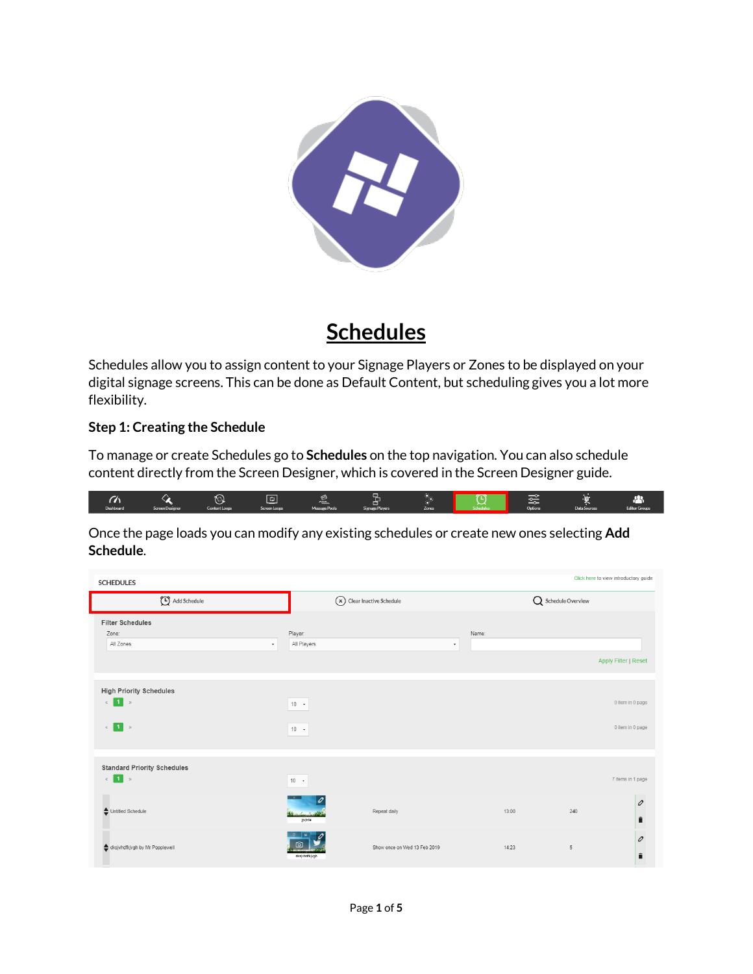

## **Schedules**

Schedules allow you to assign content to your Signage Players or Zones to be displayed on your digital signage screens. This can be done as Default Content, but scheduling gives you a lot more flexibility.

## **Step 1: Creating the Schedule**

To manage or create Schedules go to **Schedules** on the top navigation. You can also schedule content directly from the Screen Designer, which is covered in the Screen Designer guide.

|           |                 |               |              | ₩<br><b>COOK</b> |                 | . .   | $\widetilde{\phantom{m}}$ | ∼       |              | $\sim$               |
|-----------|-----------------|---------------|--------------|------------------|-----------------|-------|---------------------------|---------|--------------|----------------------|
| Dashboard | Screen Designer | Content Loops | Screen Loops | Message Pools    | Signage Players | Zones |                           | Options | Data Sources | <b>Editor Groups</b> |

Once the page loads you can modify any existing schedules or create new ones selecting **Add Schedule**.

| Click here to view introductory guide<br><b>SCHEDULES</b> |                             |                              |       |                     |                             |  |  |
|-----------------------------------------------------------|-----------------------------|------------------------------|-------|---------------------|-----------------------------|--|--|
| Add Schedule                                              | (x) Clear Inactive Schedule |                              |       | Q Schedule Overview |                             |  |  |
| <b>Filter Schedules</b><br>Zone:                          | Player:                     |                              | Name: |                     |                             |  |  |
| All Zones<br>$\star$                                      | All Players                 | $\overline{\phantom{a}}$     |       |                     |                             |  |  |
|                                                           |                             |                              |       |                     | <b>Apply Filter   Reset</b> |  |  |
| <b>High Priority Schedules</b>                            |                             |                              |       |                     |                             |  |  |
| $\mathbb{Z}$ 1 $\mathbb{Z}$                               | $10 - 1$                    |                              |       |                     | 0 item in 0 page            |  |  |
| $\vert 1 \vert$ »<br>$\ll$                                | $10 - 1$                    |                              |       |                     | 0 item in 0 page            |  |  |
| <b>Standard Priority Schedules</b>                        |                             |                              |       |                     |                             |  |  |
| $\mathbb{Z}$ 1 $\mathbb{Z}$                               | $10 - 7$                    |                              |       |                     | 7 items in 1 page           |  |  |
| Untitled Schedule                                         | jedkte                      | Repeat daily                 | 13:00 | 240                 | $\mathcal{O}$<br>Ê          |  |  |
| dksjvhdfkjvgh by Mr Popplewell                            | dkajvhdfkjvgh               | Show once on Wed 13 Feb 2019 | 14:23 | $\overline{5}$      | $\mathcal{O}$<br>Ê          |  |  |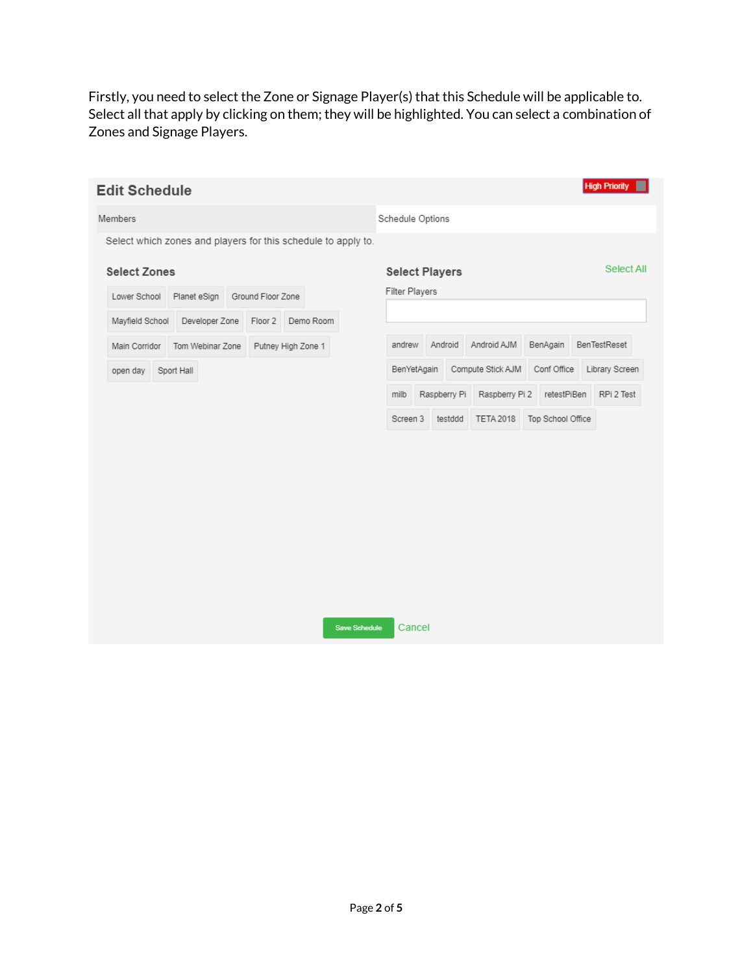Firstly, you need to select the Zone or Signage Player(s) that this Schedule will be applicable to. Select all that apply by clicking on them; they will be highlighted. You can select a combination of Zones and Signage Players.

| <b>Edit Schedule</b>                                          |                  |                   |                    |                      |                       |              |                   |                   | <b>High Priority</b> |
|---------------------------------------------------------------|------------------|-------------------|--------------------|----------------------|-----------------------|--------------|-------------------|-------------------|----------------------|
| Members                                                       |                  |                   |                    |                      | Schedule Options      |              |                   |                   |                      |
| Select which zones and players for this schedule to apply to. |                  |                   |                    |                      |                       |              |                   |                   |                      |
| <b>Select Zones</b>                                           |                  |                   |                    |                      | <b>Select Players</b> |              |                   |                   | Select All           |
| Lower School                                                  | Planet eSign     | Ground Floor Zone |                    |                      | Filter Players        |              |                   |                   |                      |
| Mayfield School                                               | Developer Zone   | Floor 2           | Demo Room          |                      |                       |              |                   |                   |                      |
| Main Corridor                                                 | Tom Webinar Zone |                   | Putney High Zone 1 |                      | andrew                | Android      | Android AJM       | BenAgain          | BenTestReset         |
| open day                                                      | Sport Hall       |                   |                    |                      | BenYetAgain           |              | Compute Stick AJM | Conf Office       | Library Screen       |
|                                                               |                  |                   |                    |                      | milb                  | Raspberry Pi | Raspberry Pi 2    | retestPiBen       | RPi 2 Test           |
|                                                               |                  |                   |                    |                      | Screen 3              | testddd      | <b>TETA 2018</b>  | Top School Office |                      |
|                                                               |                  |                   |                    |                      |                       |              |                   |                   |                      |
|                                                               |                  |                   |                    |                      |                       |              |                   |                   |                      |
|                                                               |                  |                   |                    |                      |                       |              |                   |                   |                      |
|                                                               |                  |                   |                    |                      |                       |              |                   |                   |                      |
|                                                               |                  |                   |                    |                      |                       |              |                   |                   |                      |
|                                                               |                  |                   |                    |                      |                       |              |                   |                   |                      |
|                                                               |                  |                   |                    |                      |                       |              |                   |                   |                      |
|                                                               |                  |                   |                    | <b>Save Schedule</b> | Cancel                |              |                   |                   |                      |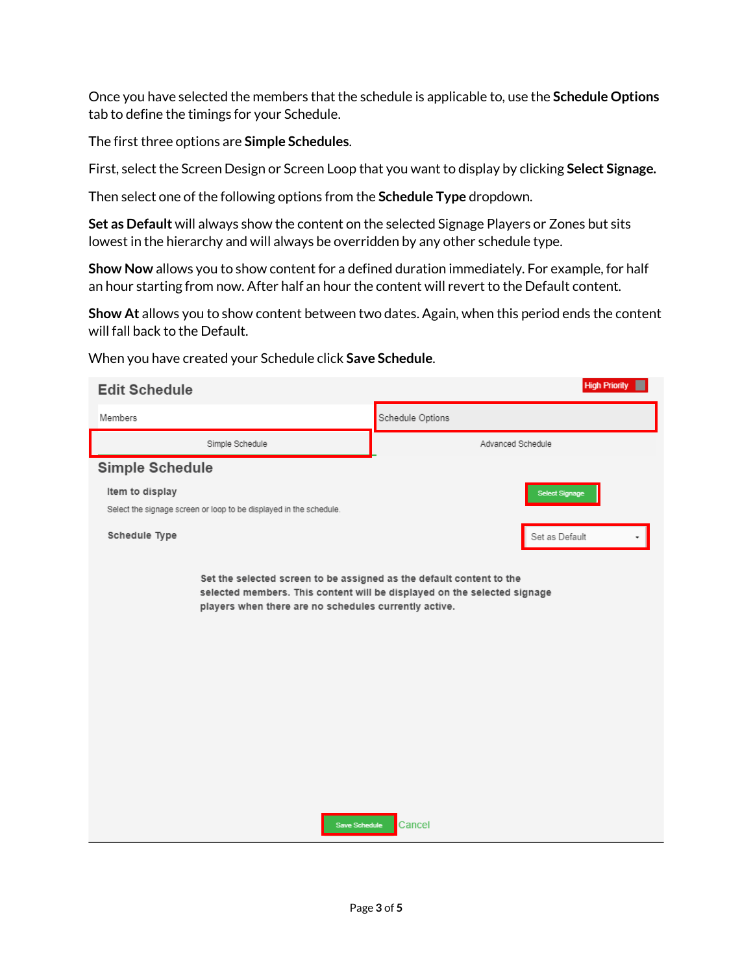Once you have selected the members that the schedule is applicable to, use the **Schedule Options**  tab to define the timings for your Schedule.

The first three options are **Simple Schedules**.

First, select the Screen Design or Screen Loop that you want to display by clicking **Select Signage.** 

Then select one of the following options from the **Schedule Type** dropdown.

**Set as Default** will always show the content on the selected Signage Players or Zones but sits lowest in the hierarchy and will always be overridden by any other schedule type.

**Show Now** allows you to show content for a defined duration immediately. For example, for half an hour starting from now. After half an hour the content will revert to the Default content.

**Show At** allows you to show content between two dates. Again, when this period ends the content will fall back to the Default.

| <b>Edit Schedule</b>                                                                                                                           | <b>High Priority</b>                                                               |
|------------------------------------------------------------------------------------------------------------------------------------------------|------------------------------------------------------------------------------------|
| Members                                                                                                                                        | Schedule Options                                                                   |
| Simple Schedule                                                                                                                                | Advanced Schedule                                                                  |
| Simple Schedule                                                                                                                                |                                                                                    |
| Item to display<br>Select the signage screen or loop to be displayed in the schedule.                                                          | <b>Select Signage</b>                                                              |
| Schedule Type                                                                                                                                  | Set as Default                                                                     |
| Set the selected screen to be assigned as the default content to the<br>players when there are no schedules currently active.<br>Save Schedule | selected members. This content will be displayed on the selected signage<br>Cancel |

When you have created your Schedule click **Save Schedule**.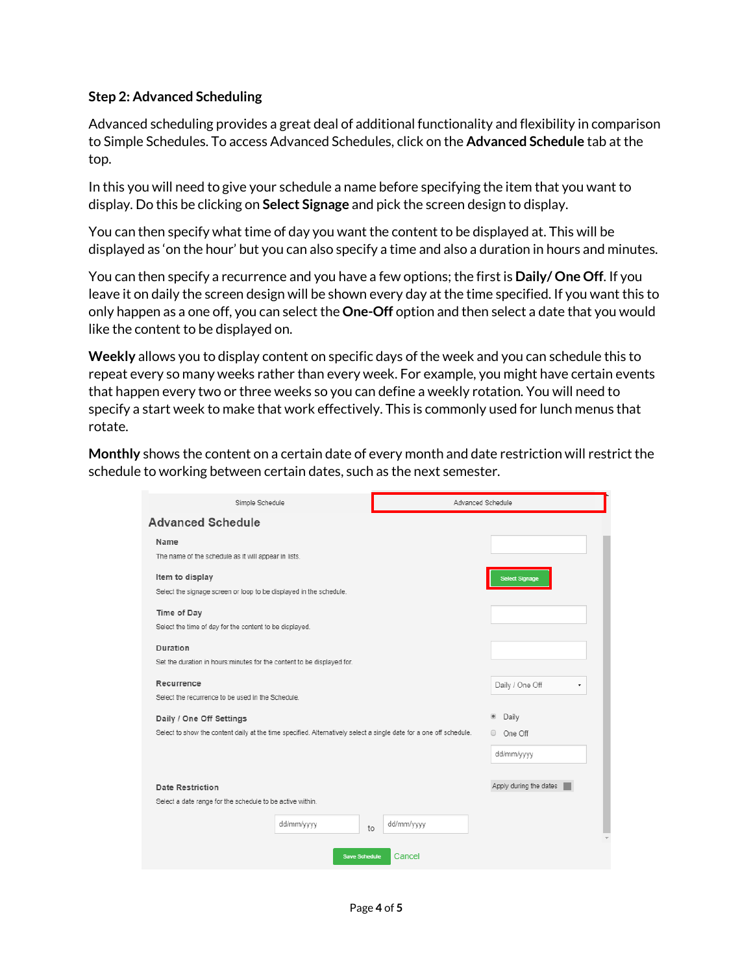## **Step 2: Advanced Scheduling**

Advanced scheduling provides a great deal of additional functionality and flexibility in comparison to Simple Schedules. To access Advanced Schedules, click on the **Advanced Schedule** tab at the top.

In this you will need to give your schedule a name before specifying the item that you want to display. Do this be clicking on **Select Signage** and pick the screen design to display.

You can then specify what time of day you want the content to be displayed at. This will be displayed as 'on the hour' but you can also specify a time and also a duration in hours and minutes.

You can then specify a recurrence and you have a few options; the first is **Daily/ One Off**. If you leave it on daily the screen design will be shown every day at the time specified. If you want this to only happen as a one off, you can select the **One-Off** option and then select a date that you would like the content to be displayed on.

**Weekly** allows you to display content on specific days of the week and you can schedule this to repeat every so many weeks rather than every week. For example, you might have certain events that happen every two or three weeks so you can define a weekly rotation. You will need to specify a start week to make that work effectively. This is commonly used for lunch menus that rotate.

**Monthly** shows the content on a certain date of every month and date restriction will restrict the schedule to working between certain dates, such as the next semester.

| Simple Schedule                                                                                                    |                      | Advanced Schedule |                         |  |  |
|--------------------------------------------------------------------------------------------------------------------|----------------------|-------------------|-------------------------|--|--|
| <b>Advanced Schedule</b>                                                                                           |                      |                   |                         |  |  |
| Name                                                                                                               |                      |                   |                         |  |  |
| The name of the schedule as it will appear in lists.                                                               |                      |                   |                         |  |  |
| Item to display                                                                                                    |                      |                   | <b>Select Signage</b>   |  |  |
| Select the signage screen or loop to be displayed in the schedule.                                                 |                      |                   |                         |  |  |
| Time of Day                                                                                                        |                      |                   |                         |  |  |
| Select the time of day for the content to be displayed.                                                            |                      |                   |                         |  |  |
| Duration                                                                                                           |                      |                   |                         |  |  |
| Set the duration in hours: minutes for the content to be displayed for.                                            |                      |                   |                         |  |  |
| Recurrence                                                                                                         |                      |                   | Daily / One Off<br>۰    |  |  |
| Select the recurrence to be used in the Schedule.                                                                  |                      |                   |                         |  |  |
| Daily / One Off Settings                                                                                           |                      |                   | $\circledcirc$<br>Daily |  |  |
| Select to show the content daily at the time specified. Alternatively select a single date for a one off schedule. |                      |                   | One Off<br>$\circ$      |  |  |
|                                                                                                                    |                      |                   | dd/mm/yyyy              |  |  |
|                                                                                                                    |                      |                   |                         |  |  |
| <b>Date Restriction</b>                                                                                            |                      |                   | Apply during the dates  |  |  |
| Select a date range for the schedule to be active within.                                                          |                      |                   |                         |  |  |
|                                                                                                                    | dd/mm/yyyy<br>to     | dd/mm/yyyy        |                         |  |  |
|                                                                                                                    |                      |                   |                         |  |  |
|                                                                                                                    | <b>Save Schedule</b> | Cancel            |                         |  |  |